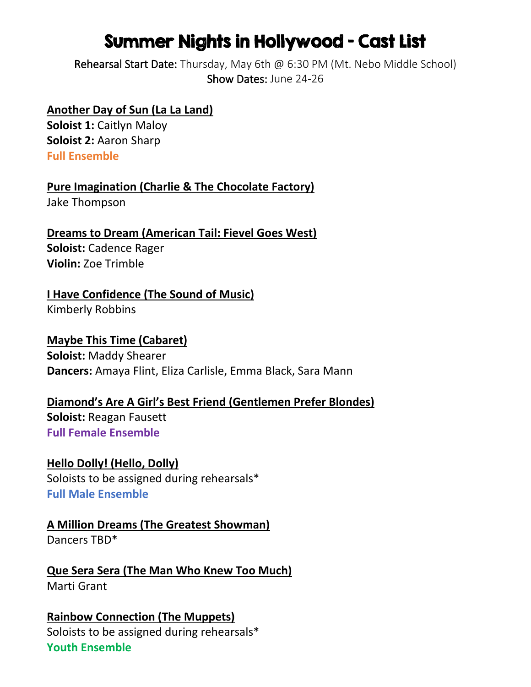# Summer Nights in Hollywood – Cast List

Rehearsal Start Date: Thursday, May 6th @ 6:30 PM (Mt. Nebo Middle School) Show Dates: June 24-26

#### **Another Day of Sun (La La Land)**

**Soloist 1: Caitlyn Maloy Soloist 2:** Aaron Sharp **Full Ensemble**

**Pure Imagination (Charlie & The Chocolate Factory)**

Jake Thompson

**Dreams to Dream (American Tail: Fievel Goes West) Soloist:** Cadence Rager **Violin:** Zoe Trimble

### **I Have Confidence (The Sound of Music)**

Kimberly Robbins

## **Maybe This Time (Cabaret) Soloist:** Maddy Shearer

**Dancers:** Amaya Flint, Eliza Carlisle, Emma Black, Sara Mann

## **Diamond's Are A Girl's Best Friend (Gentlemen Prefer Blondes)**

**Soloist:** Reagan Fausett **Full Female Ensemble**

**Hello Dolly! (Hello, Dolly)** Soloists to be assigned during rehearsals\* **Full Male Ensemble**

## **A Million Dreams (The Greatest Showman)**

Dancers TBD\*

**Que Sera Sera (The Man Who Knew Too Much)** Marti Grant

#### **Rainbow Connection (The Muppets)** Soloists to be assigned during rehearsals\* **Youth Ensemble**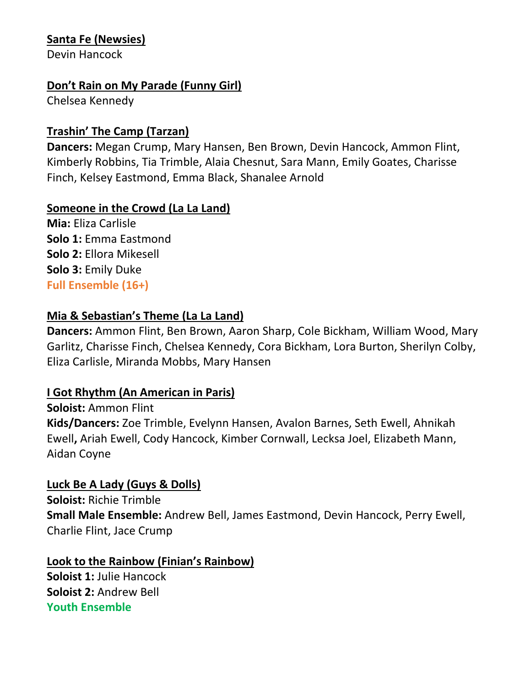#### **Santa Fe (Newsies)**

Devin Hancock

#### **Don't Rain on My Parade (Funny Girl)**

Chelsea Kennedy

#### **Trashin' The Camp (Tarzan)**

**Dancers:** Megan Crump, Mary Hansen, Ben Brown, Devin Hancock, Ammon Flint, Kimberly Robbins, Tia Trimble, Alaia Chesnut, Sara Mann, Emily Goates, Charisse Finch, Kelsey Eastmond, Emma Black, Shanalee Arnold

#### **Someone in the Crowd (La La Land)**

**Mia:** Eliza Carlisle **Solo 1:** Emma Eastmond **Solo 2:** Ellora Mikesell **Solo 3:** Emily Duke **Full Ensemble (16+)**

#### **Mia & Sebastian's Theme (La La Land)**

**Dancers:** Ammon Flint, Ben Brown, Aaron Sharp, Cole Bickham, William Wood, Mary Garlitz, Charisse Finch, Chelsea Kennedy, Cora Bickham, Lora Burton, Sherilyn Colby, Eliza Carlisle, Miranda Mobbs, Mary Hansen

#### **I Got Rhythm (An American in Paris)**

**Soloist:** Ammon Flint **Kids/Dancers:** Zoe Trimble, Evelynn Hansen, Avalon Barnes, Seth Ewell, Ahnikah Ewell**,** Ariah Ewell, Cody Hancock, Kimber Cornwall, Lecksa Joel, Elizabeth Mann, Aidan Coyne

#### **Luck Be A Lady (Guys & Dolls)**

**Soloist:** Richie Trimble **Small Male Ensemble:** Andrew Bell, James Eastmond, Devin Hancock, Perry Ewell, Charlie Flint, Jace Crump

#### **Look to the Rainbow (Finian's Rainbow)**

**Soloist 1:** Julie Hancock **Soloist 2:** Andrew Bell **Youth Ensemble**